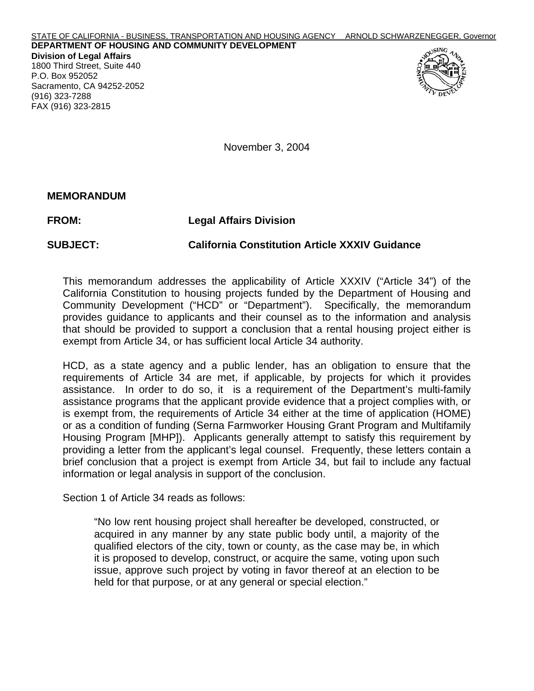## **DEPARTMENT OF HOUSING AND COMMUNITY DEVELOPMENT Division of Legal Affairs**

1800 Third Street, Suite 440 P.O. Box 952052 Sacramento, CA 94252-2052 (916) 323-7288 FAX (916) 323-2815



November 3, 2004

**MEMORANDUM** 

## **FROM: Legal Affairs Division**

**SUBJECT:** 

## **California Constitution Article XXXIV Guidance**

This memorandum addresses the applicability of Article XXXIV ("Article 34") of the California Constitution to housing projects funded by the Department of Housing and Community Development ("HCD" or "Department"). Specifically, the memorandum provides guidance to applicants and their counsel as to the information and analysis that should be provided to support a conclusion that a rental housing project either is exempt from Article 34, or has sufficient local Article 34 authority.

HCD, as a state agency and a public lender, has an obligation to ensure that the requirements of Article 34 are met, if applicable, by projects for which it provides assistance. In order to do so, it is a requirement of the Department's multi-family assistance programs that the applicant provide evidence that a project complies with, or is exempt from, the requirements of Article 34 either at the time of application (HOME) or as a condition of funding (Serna Farmworker Housing Grant Program and Multifamily Housing Program [MHP]). Applicants generally attempt to satisfy this requirement by providing a letter from the applicant's legal counsel. Frequently, these letters contain a brief conclusion that a project is exempt from Article 34, but fail to include any factual information or legal analysis in support of the conclusion.

Section 1 of Article 34 reads as follows:

"No low rent housing project shall hereafter be developed, constructed, or acquired in any manner by any state public body until, a majority of the qualified electors of the city, town or county, as the case may be, in which it is proposed to develop, construct, or acquire the same, voting upon such issue, approve such project by voting in favor thereof at an election to be held for that purpose, or at any general or special election."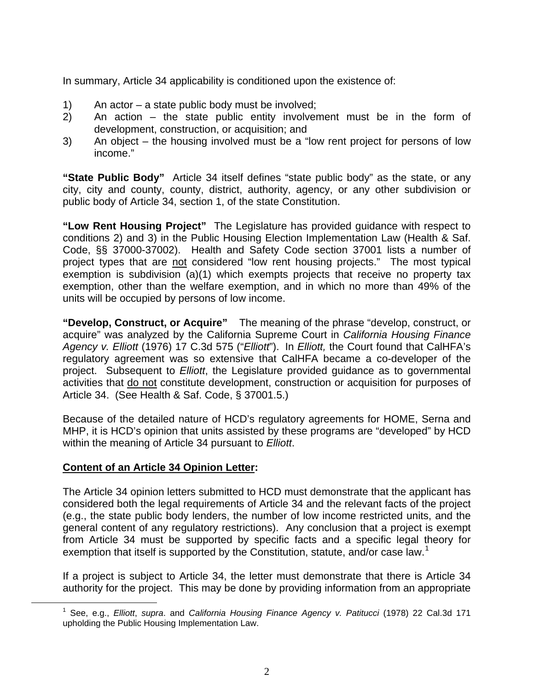In summary, Article 34 applicability is conditioned upon the existence of:

- 1) An actor a state public body must be involved;
- 2) An action the state public entity involvement must be in the form of development, construction, or acquisition; and
- 3) An object the housing involved must be a "low rent project for persons of low income."

**"State Public Body"** Article 34 itself defines "state public body" as the state, or any city, city and county, county, district, authority, agency, or any other subdivision or public body of Article 34, section 1, of the state Constitution.

**"Low Rent Housing Project"** The Legislature has provided guidance with respect to conditions 2) and 3) in the Public Housing Election Implementation Law (Health & Saf. Code, §§ 37000-37002). Health and Safety Code section 37001 lists a number of project types that are not considered "low rent housing projects." The most typical exemption is subdivision (a)(1) which exempts projects that receive no property tax exemption, other than the welfare exemption, and in which no more than 49% of the units will be occupied by persons of low income.

**"Develop, Construct, or Acquire"** The meaning of the phrase "develop, construct, or acquire" was analyzed by the California Supreme Court in *California Housing Finance Agency v. Elliott* (1976) 17 C.3d 575 ("*Elliott*"). In *Elliott,* the Court found that CalHFA's regulatory agreement was so extensive that CalHFA became a co-developer of the project. Subsequent to *Elliott*, the Legislature provided guidance as to governmental activities that do not constitute development, construction or acquisition for purposes of Article 34. (See Health & Saf. Code, § 37001.5.)

Because of the detailed nature of HCD's regulatory agreements for HOME, Serna and MHP, it is HCD's opinion that units assisted by these programs are "developed" by HCD within the meaning of Article 34 pursuant to *Elliott*.

## **Content of an Article 34 Opinion Letter:**

 $\overline{a}$ 

The Article 34 opinion letters submitted to HCD must demonstrate that the applicant has considered both the legal requirements of Article 34 and the relevant facts of the project (e.g., the state public body lenders, the number of low income restricted units, and the general content of any regulatory restrictions). Any conclusion that a project is exempt from Article 34 must be supported by specific facts and a specific legal theory for exemption that itself is supported by the Constitution, statute, and/or case law.<sup>1</sup>

If a project is subject to Article 34, the letter must demonstrate that there is Article 34 authority for the project. This may be done by providing information from an appropriate

<sup>1</sup> See, e.g., *Elliott*, *supra*. and *California Housing Finance Agency v. Patitucci* (1978) 22 Cal.3d 171 upholding the Public Housing Implementation Law.